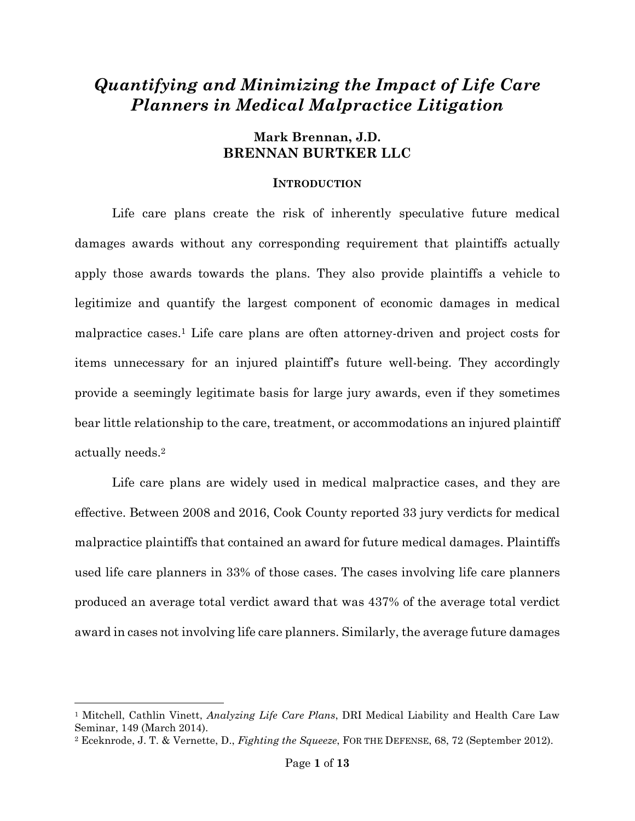# *Quantifying and Minimizing the Impact of Life Care Planners in Medical Malpractice Litigation*

## **Mark Brennan, J.D. BRENNAN BURTKER LLC**

#### **INTRODUCTION**

Life care plans create the risk of inherently speculative future medical damages awards without any corresponding requirement that plaintiffs actually apply those awards towards the plans. They also provide plaintiffs a vehicle to legitimize and quantify the largest component of economic damages in medical malpractice cases.<sup>1</sup> Life care plans are often attorney-driven and project costs for items unnecessary for an injured plaintiff's future well-being. They accordingly provide a seemingly legitimate basis for large jury awards, even if they sometimes bear little relationship to the care, treatment, or accommodations an injured plaintiff actually needs.<sup>2</sup>

Life care plans are widely used in medical malpractice cases, and they are effective. Between 2008 and 2016, Cook County reported 33 jury verdicts for medical malpractice plaintiffs that contained an award for future medical damages. Plaintiffs used life care planners in 33% of those cases. The cases involving life care planners produced an average total verdict award that was 437% of the average total verdict award in cases not involving life care planners. Similarly, the average future damages

<sup>1</sup> Mitchell, Cathlin Vinett, *Analyzing Life Care Plans*, DRI Medical Liability and Health Care Law Seminar, 149 (March 2014).

<sup>2</sup> Eceknrode, J. T. & Vernette, D., *Fighting the Squeeze*, FOR THE DEFENSE, 68, 72 (September 2012).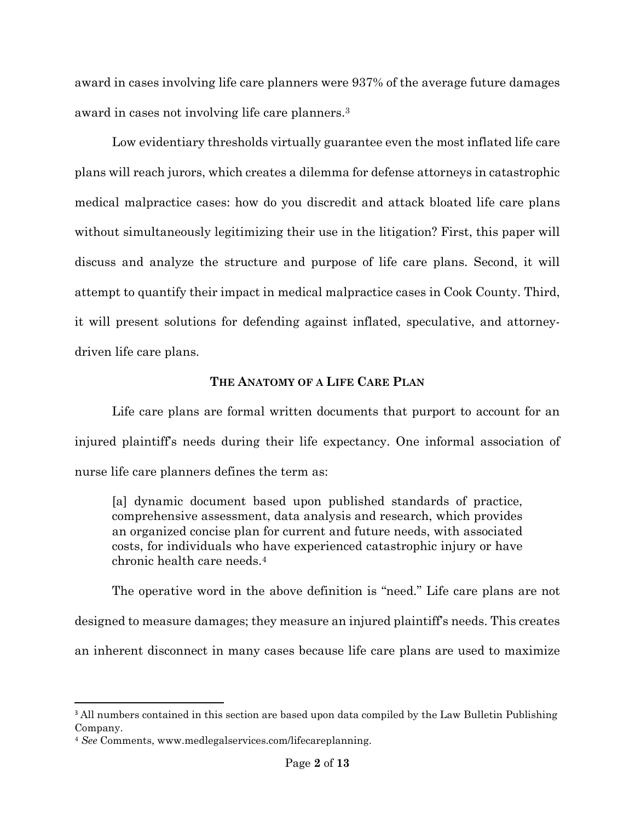award in cases involving life care planners were 937% of the average future damages award in cases not involving life care planners.<sup>3</sup>

Low evidentiary thresholds virtually guarantee even the most inflated life care plans will reach jurors, which creates a dilemma for defense attorneys in catastrophic medical malpractice cases: how do you discredit and attack bloated life care plans without simultaneously legitimizing their use in the litigation? First, this paper will discuss and analyze the structure and purpose of life care plans. Second, it will attempt to quantify their impact in medical malpractice cases in Cook County. Third, it will present solutions for defending against inflated, speculative, and attorneydriven life care plans.

# **THE ANATOMY OF A LIFE CARE PLAN**

Life care plans are formal written documents that purport to account for an injured plaintiff's needs during their life expectancy. One informal association of nurse life care planners defines the term as:

[a] dynamic document based upon published standards of practice, comprehensive assessment, data analysis and research, which provides an organized concise plan for current and future needs, with associated costs, for individuals who have experienced catastrophic injury or have chronic health care needs.<sup>4</sup>

The operative word in the above definition is "need." Life care plans are not designed to measure damages; they measure an injured plaintiff's needs. This creates an inherent disconnect in many cases because life care plans are used to maximize

<sup>&</sup>lt;sup>3</sup> All numbers contained in this section are based upon data compiled by the Law Bulletin Publishing Company.

<sup>4</sup> *See* Comments, www.medlegalservices.com/lifecareplanning.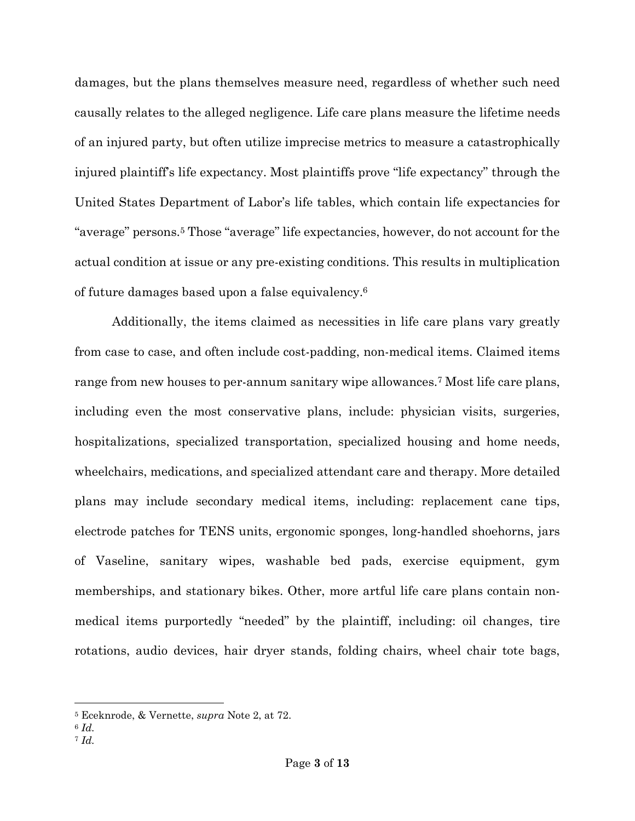damages, but the plans themselves measure need, regardless of whether such need causally relates to the alleged negligence. Life care plans measure the lifetime needs of an injured party, but often utilize imprecise metrics to measure a catastrophically injured plaintiff's life expectancy. Most plaintiffs prove "life expectancy" through the United States Department of Labor's life tables, which contain life expectancies for "average" persons.<sup>5</sup> Those "average" life expectancies, however, do not account for the actual condition at issue or any pre-existing conditions. This results in multiplication of future damages based upon a false equivalency.<sup>6</sup>

Additionally, the items claimed as necessities in life care plans vary greatly from case to case, and often include cost-padding, non-medical items. Claimed items range from new houses to per-annum sanitary wipe allowances.<sup>7</sup> Most life care plans, including even the most conservative plans, include: physician visits, surgeries, hospitalizations, specialized transportation, specialized housing and home needs, wheelchairs, medications, and specialized attendant care and therapy. More detailed plans may include secondary medical items, including: replacement cane tips, electrode patches for TENS units, ergonomic sponges, long-handled shoehorns, jars of Vaseline, sanitary wipes, washable bed pads, exercise equipment, gym memberships, and stationary bikes. Other, more artful life care plans contain nonmedical items purportedly "needed" by the plaintiff, including: oil changes, tire rotations, audio devices, hair dryer stands, folding chairs, wheel chair tote bags,

<sup>5</sup> Eceknrode, & Vernette, *supra* Note 2, at 72.

<sup>6</sup> *Id.*

<sup>7</sup> *Id.*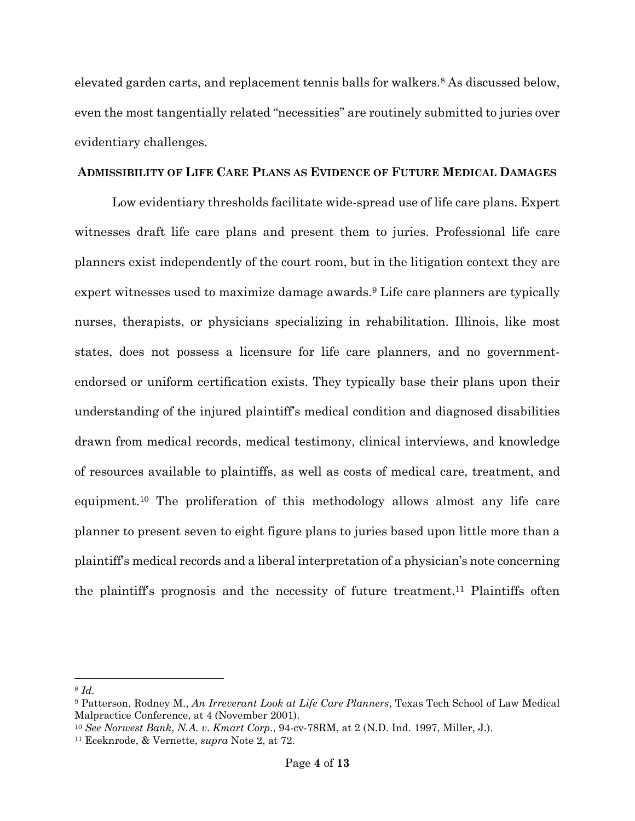elevated garden carts, and replacement tennis balls for walkers.<sup>8</sup> As discussed below, even the most tangentially related "necessities" are routinely submitted to juries over evidentiary challenges.

## **ADMISSIBILITY OF LIFE CARE PLANS AS EVIDENCE OF FUTURE MEDICAL DAMAGES**

Low evidentiary thresholds facilitate wide-spread use of life care plans. Expert witnesses draft life care plans and present them to juries. Professional life care planners exist independently of the court room, but in the litigation context they are expert witnesses used to maximize damage awards.<sup>9</sup> Life care planners are typically nurses, therapists, or physicians specializing in rehabilitation. Illinois, like most states, does not possess a licensure for life care planners, and no governmentendorsed or uniform certification exists. They typically base their plans upon their understanding of the injured plaintiff's medical condition and diagnosed disabilities drawn from medical records, medical testimony, clinical interviews, and knowledge of resources available to plaintiffs, as well as costs of medical care, treatment, and equipment.<sup>10</sup> The proliferation of this methodology allows almost any life care planner to present seven to eight figure plans to juries based upon little more than a plaintiff's medical records and a liberal interpretation of a physician's note concerning the plaintiff's prognosis and the necessity of future treatment.<sup>11</sup> Plaintiffs often

<sup>8</sup> *Id.*

<sup>9</sup> Patterson, Rodney M., *An Irreverant Look at Life Care Planners*, Texas Tech School of Law Medical Malpractice Conference, at 4 (November 2001).

<sup>10</sup> *See Norwest Bank*, *N.A. v. Kmart Corp.*, 94-cv-78RM, at 2 (N.D. Ind. 1997, Miller, J.).

<sup>11</sup> Eceknrode, & Vernette, *supra* Note 2, at 72.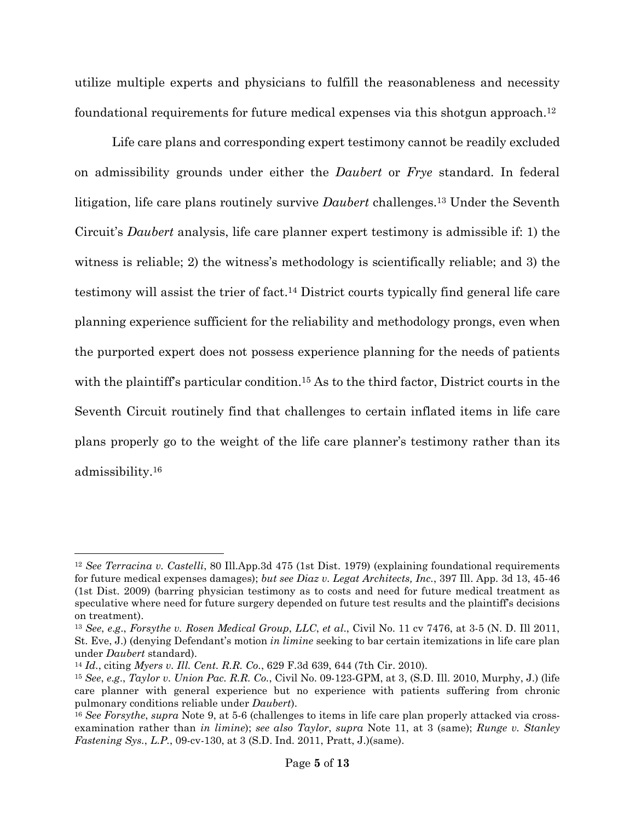utilize multiple experts and physicians to fulfill the reasonableness and necessity foundational requirements for future medical expenses via this shotgun approach.<sup>12</sup>

Life care plans and corresponding expert testimony cannot be readily excluded on admissibility grounds under either the *Daubert* or *Frye* standard. In federal litigation, life care plans routinely survive *Daubert* challenges.<sup>13</sup> Under the Seventh Circuit's *Daubert* analysis, life care planner expert testimony is admissible if: 1) the witness is reliable; 2) the witness's methodology is scientifically reliable; and 3) the testimony will assist the trier of fact.<sup>14</sup> District courts typically find general life care planning experience sufficient for the reliability and methodology prongs, even when the purported expert does not possess experience planning for the needs of patients with the plaintiff's particular condition.<sup>15</sup> As to the third factor, District courts in the Seventh Circuit routinely find that challenges to certain inflated items in life care plans properly go to the weight of the life care planner's testimony rather than its admissibility.<sup>16</sup>

<sup>12</sup> *See Terracina v. Castelli*, 80 Ill.App.3d 475 (1st Dist. 1979) (explaining foundational requirements for future medical expenses damages); *but see Diaz v. Legat Architects, Inc.*, 397 Ill. App. 3d 13, 45-46 (1st Dist. 2009) (barring physician testimony as to costs and need for future medical treatment as speculative where need for future surgery depended on future test results and the plaintiff's decisions on treatment).

<sup>13</sup> *See*, *e*.*g*., *Forsythe v. Rosen Medical Group*, *LLC*, *et al*., Civil No. 11 cv 7476, at 3-5 (N. D. Ill 2011, St. Eve, J.) (denying Defendant's motion *in limine* seeking to bar certain itemizations in life care plan under *Daubert* standard).

<sup>14</sup> *Id.*, citing *Myers v. Ill. Cent. R.R. Co.*, 629 F.3d 639, 644 (7th Cir. 2010).

<sup>15</sup> *See*, *e*.*g*., *Taylor v. Union Pac. R.R. Co.*, Civil No. 09-123-GPM, at 3, (S.D. Ill. 2010, Murphy, J.) (life care planner with general experience but no experience with patients suffering from chronic pulmonary conditions reliable under *Daubert*).

<sup>16</sup> *See Forsythe*, *supra* Note 9, at 5-6 (challenges to items in life care plan properly attacked via crossexamination rather than *in limine*); *see also Taylor*, *supra* Note 11, at 3 (same); *Runge v. Stanley Fastening Sys.*, *L.P.*, 09-cv-130, at 3 (S.D. Ind. 2011, Pratt, J.)(same).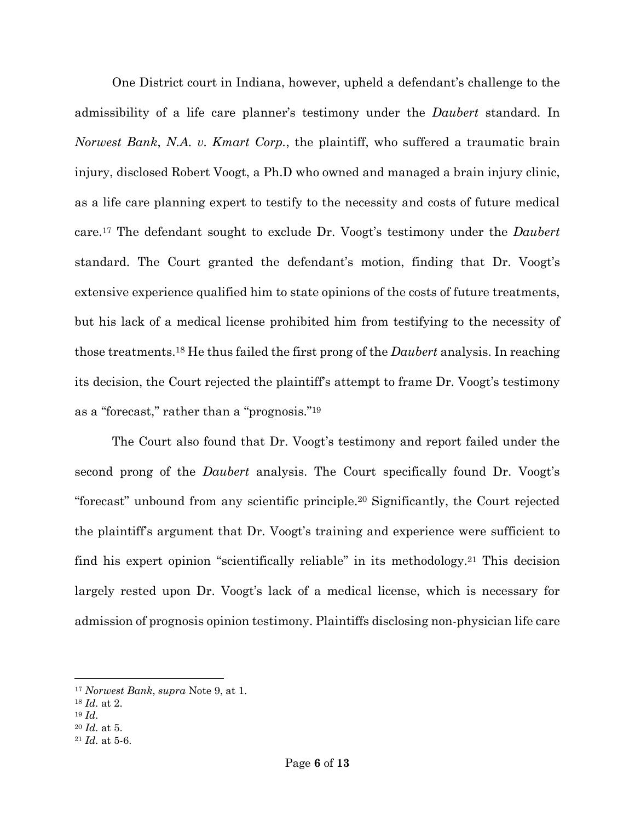One District court in Indiana, however, upheld a defendant's challenge to the admissibility of a life care planner's testimony under the *Daubert* standard. In *Norwest Bank*, *N.A. v. Kmart Corp.*, the plaintiff, who suffered a traumatic brain injury, disclosed Robert Voogt, a Ph.D who owned and managed a brain injury clinic, as a life care planning expert to testify to the necessity and costs of future medical care.<sup>17</sup> The defendant sought to exclude Dr. Voogt's testimony under the *Daubert* standard. The Court granted the defendant's motion, finding that Dr. Voogt's extensive experience qualified him to state opinions of the costs of future treatments, but his lack of a medical license prohibited him from testifying to the necessity of those treatments.<sup>18</sup> He thus failed the first prong of the *Daubert* analysis. In reaching its decision, the Court rejected the plaintiff's attempt to frame Dr. Voogt's testimony as a "forecast," rather than a "prognosis."<sup>19</sup>

The Court also found that Dr. Voogt's testimony and report failed under the second prong of the *Daubert* analysis. The Court specifically found Dr. Voogt's "forecast" unbound from any scientific principle.<sup>20</sup> Significantly, the Court rejected the plaintiff's argument that Dr. Voogt's training and experience were sufficient to find his expert opinion "scientifically reliable" in its methodology.<sup>21</sup> This decision largely rested upon Dr. Voogt's lack of a medical license, which is necessary for admission of prognosis opinion testimony. Plaintiffs disclosing non-physician life care

<sup>17</sup> *Norwest Bank*, *supra* Note 9, at 1.

<sup>18</sup> *Id.* at 2.

<sup>19</sup> *Id.*

<sup>20</sup> *Id.* at 5.

<sup>21</sup> *Id.* at 5-6.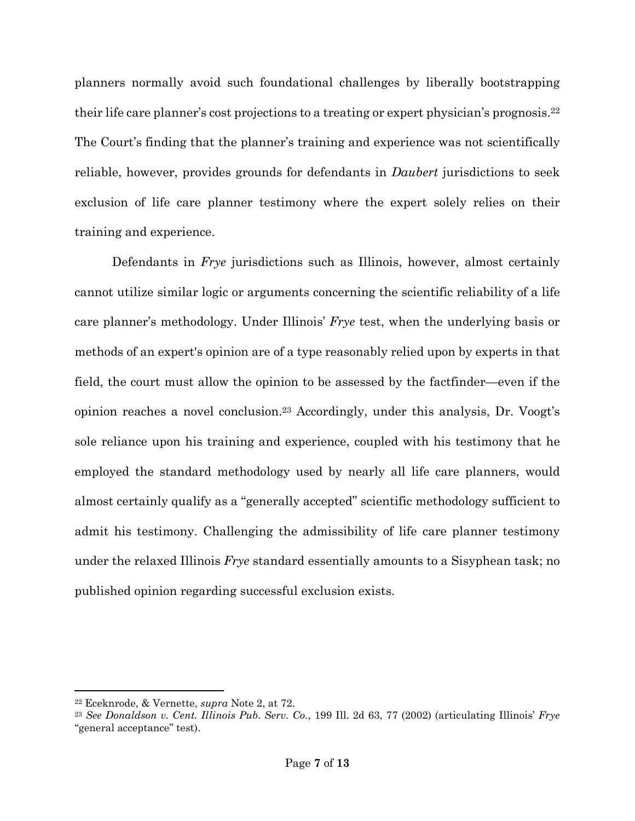planners normally avoid such foundational challenges by liberally bootstrapping their life care planner's cost projections to a treating or expert physician's prognosis.<sup>22</sup> The Court's finding that the planner's training and experience was not scientifically reliable, however, provides grounds for defendants in *Daubert* jurisdictions to seek exclusion of life care planner testimony where the expert solely relies on their training and experience.

Defendants in *Frye* jurisdictions such as Illinois, however, almost certainly cannot utilize similar logic or arguments concerning the scientific reliability of a life care planner's methodology. Under Illinois' *Frye* test, when the underlying basis or methods of an expert's opinion are of a type reasonably relied upon by experts in that field, the court must allow the opinion to be assessed by the factfinder—even if the opinion reaches a novel conclusion.<sup>23</sup> Accordingly, under this analysis, Dr. Voogt's sole reliance upon his training and experience, coupled with his testimony that he employed the standard methodology used by nearly all life care planners, would almost certainly qualify as a "generally accepted" scientific methodology sufficient to admit his testimony. Challenging the admissibility of life care planner testimony under the relaxed Illinois *Frye* standard essentially amounts to a Sisyphean task; no published opinion regarding successful exclusion exists.

<sup>22</sup> Eceknrode, & Vernette, *supra* Note 2, at 72.

<sup>23</sup> *See Donaldson v. Cent. Illinois Pub. Serv. Co.*, 199 Ill. 2d 63, 77 (2002) (articulating Illinois' *Frye* "general acceptance" test).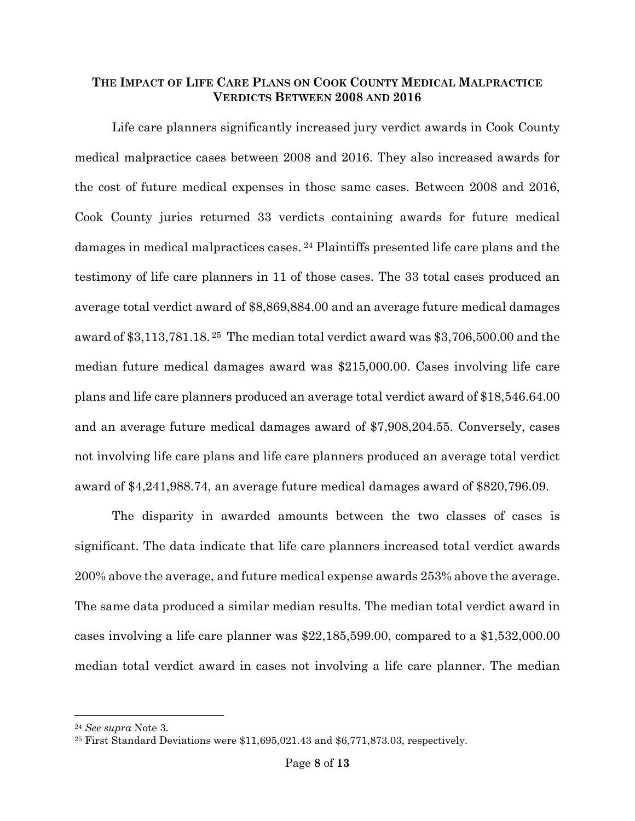## **THE IMPACT OF LIFE CARE PLANS ON COOK COUNTY MEDICAL MALPRACTICE VERDICTS BETWEEN 2008 AND 2016**

Life care planners significantly increased jury verdict awards in Cook County medical malpractice cases between 2008 and 2016. They also increased awards for the cost of future medical expenses in those same cases. Between 2008 and 2016, Cook County juries returned 33 verdicts containing awards for future medical damages in medical malpractices cases. <sup>24</sup> Plaintiffs presented life care plans and the testimony of life care planners in 11 of those cases. The 33 total cases produced an average total verdict award of \$8,869,884.00 and an average future medical damages award of \$3,113,781.18. <sup>25</sup> The median total verdict award was \$3,706,500.00 and the median future medical damages award was \$215,000.00. Cases involving life care plans and life care planners produced an average total verdict award of \$18,546.64.00 and an average future medical damages award of \$7,908,204.55. Conversely, cases not involving life care plans and life care planners produced an average total verdict award of \$4,241,988.74, an average future medical damages award of \$820,796.09.

The disparity in awarded amounts between the two classes of cases is significant. The data indicate that life care planners increased total verdict awards 200% above the average, and future medical expense awards 253% above the average. The same data produced a similar median results. The median total verdict award in cases involving a life care planner was \$22,185,599.00, compared to a \$1,532,000.00 median total verdict award in cases not involving a life care planner. The median

<sup>24</sup> *See supra* Note 3.

<sup>25</sup> First Standard Deviations were \$11,695,021.43 and \$6,771,873.03, respectively.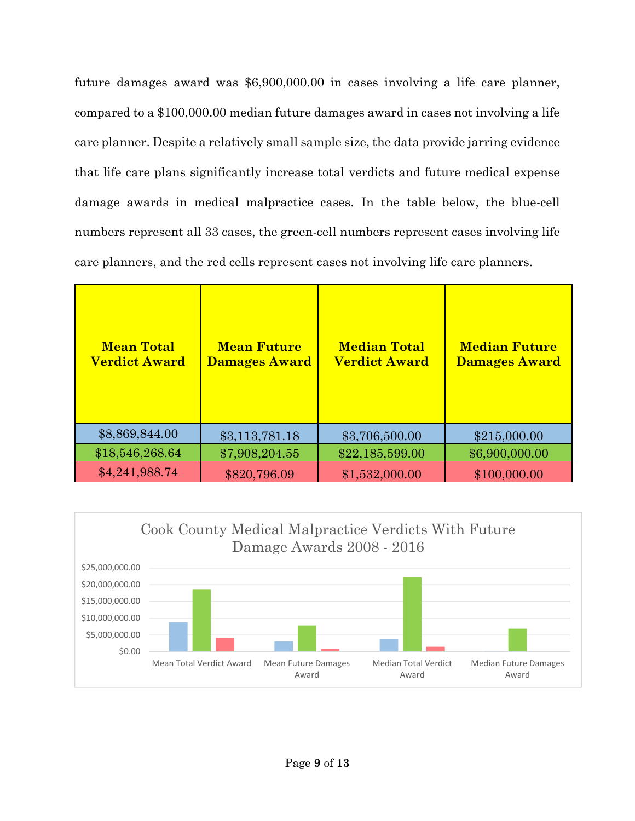future damages award was \$6,900,000.00 in cases involving a life care planner, compared to a \$100,000.00 median future damages award in cases not involving a life care planner. Despite a relatively small sample size, the data provide jarring evidence that life care plans significantly increase total verdicts and future medical expense damage awards in medical malpractice cases. In the table below, the blue-cell numbers represent all 33 cases, the green-cell numbers represent cases involving life care planners, and the red cells represent cases not involving life care planners.

| <b>Mean Total</b><br><b>Verdict Award</b> | <b>Mean Future</b><br><b>Damages Award</b> | <b>Median Total</b><br><b>Verdict Award</b> | <b>Median Future</b><br>Damages Award |
|-------------------------------------------|--------------------------------------------|---------------------------------------------|---------------------------------------|
| \$8,869,844.00                            | \$3,113,781.18                             | \$3,706,500.00                              | \$215,000.00                          |
| \$18,546,268.64                           | \$7,908,204.55                             | \$22,185,599.00                             | \$6,900,000.00                        |
| \$4,241,988.74                            | \$820,796.09                               | \$1,532,000.00                              | \$100,000.00                          |

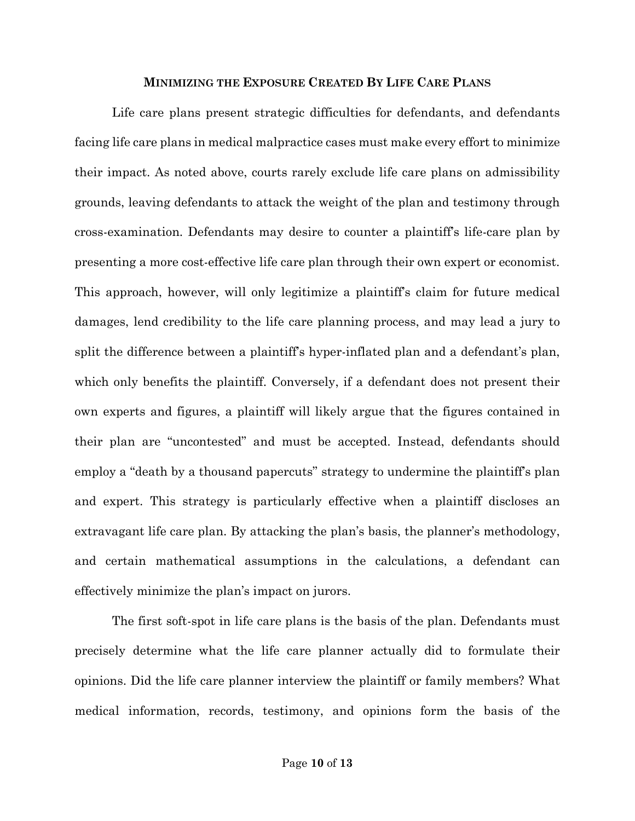#### **MINIMIZING THE EXPOSURE CREATED BY LIFE CARE PLANS**

Life care plans present strategic difficulties for defendants, and defendants facing life care plans in medical malpractice cases must make every effort to minimize their impact. As noted above, courts rarely exclude life care plans on admissibility grounds, leaving defendants to attack the weight of the plan and testimony through cross-examination. Defendants may desire to counter a plaintiff's life-care plan by presenting a more cost-effective life care plan through their own expert or economist. This approach, however, will only legitimize a plaintiff's claim for future medical damages, lend credibility to the life care planning process, and may lead a jury to split the difference between a plaintiff's hyper-inflated plan and a defendant's plan, which only benefits the plaintiff. Conversely, if a defendant does not present their own experts and figures, a plaintiff will likely argue that the figures contained in their plan are "uncontested" and must be accepted. Instead, defendants should employ a "death by a thousand papercuts" strategy to undermine the plaintiff's plan and expert. This strategy is particularly effective when a plaintiff discloses an extravagant life care plan. By attacking the plan's basis, the planner's methodology, and certain mathematical assumptions in the calculations, a defendant can effectively minimize the plan's impact on jurors.

The first soft-spot in life care plans is the basis of the plan. Defendants must precisely determine what the life care planner actually did to formulate their opinions. Did the life care planner interview the plaintiff or family members? What medical information, records, testimony, and opinions form the basis of the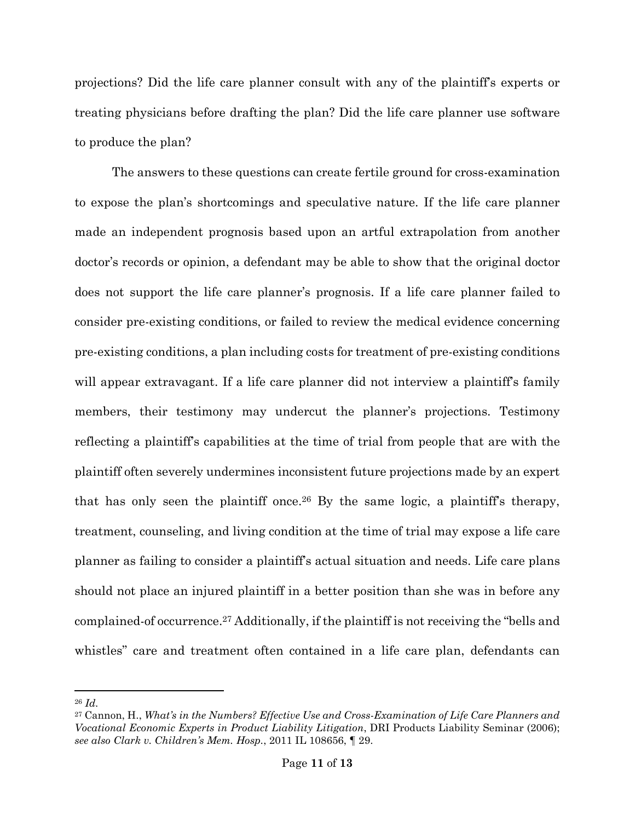projections? Did the life care planner consult with any of the plaintiff's experts or treating physicians before drafting the plan? Did the life care planner use software to produce the plan?

The answers to these questions can create fertile ground for cross-examination to expose the plan's shortcomings and speculative nature. If the life care planner made an independent prognosis based upon an artful extrapolation from another doctor's records or opinion, a defendant may be able to show that the original doctor does not support the life care planner's prognosis. If a life care planner failed to consider pre-existing conditions, or failed to review the medical evidence concerning pre-existing conditions, a plan including costs for treatment of pre-existing conditions will appear extravagant. If a life care planner did not interview a plaintiff's family members, their testimony may undercut the planner's projections. Testimony reflecting a plaintiff's capabilities at the time of trial from people that are with the plaintiff often severely undermines inconsistent future projections made by an expert that has only seen the plaintiff once.<sup>26</sup> By the same logic, a plaintiff's therapy, treatment, counseling, and living condition at the time of trial may expose a life care planner as failing to consider a plaintiff's actual situation and needs. Life care plans should not place an injured plaintiff in a better position than she was in before any complained-of occurrence.<sup>27</sup> Additionally, if the plaintiff is not receiving the "bells and whistles" care and treatment often contained in a life care plan, defendants can

<sup>26</sup> *Id.*

<sup>27</sup> Cannon, H., *What's in the Numbers? Effective Use and Cross-Examination of Life Care Planners and Vocational Economic Experts in Product Liability Litigation*, DRI Products Liability Seminar (2006); *see also Clark v. Children's Mem. Hosp.*, 2011 IL 108656, ¶ 29.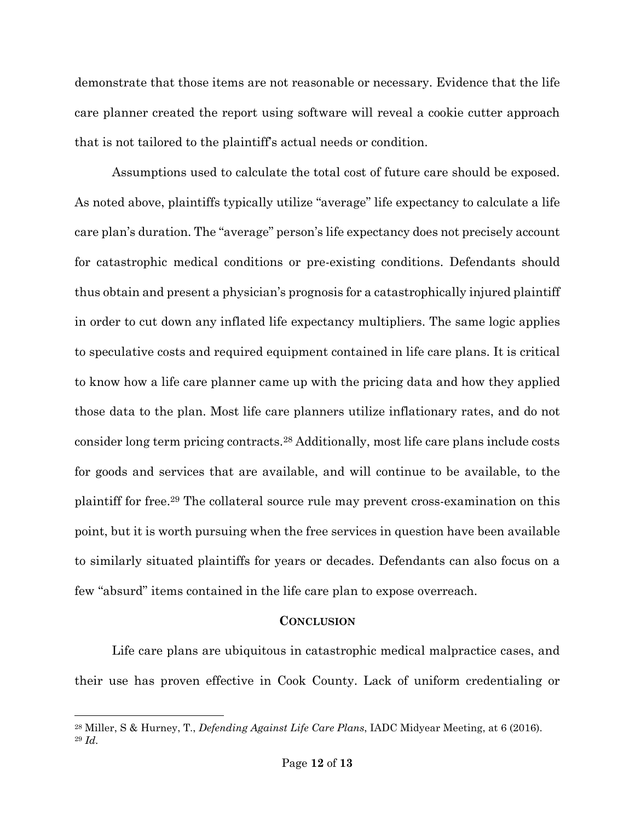demonstrate that those items are not reasonable or necessary. Evidence that the life care planner created the report using software will reveal a cookie cutter approach that is not tailored to the plaintiff's actual needs or condition.

Assumptions used to calculate the total cost of future care should be exposed. As noted above, plaintiffs typically utilize "average" life expectancy to calculate a life care plan's duration. The "average" person's life expectancy does not precisely account for catastrophic medical conditions or pre-existing conditions. Defendants should thus obtain and present a physician's prognosis for a catastrophically injured plaintiff in order to cut down any inflated life expectancy multipliers. The same logic applies to speculative costs and required equipment contained in life care plans. It is critical to know how a life care planner came up with the pricing data and how they applied those data to the plan. Most life care planners utilize inflationary rates, and do not consider long term pricing contracts.<sup>28</sup> Additionally, most life care plans include costs for goods and services that are available, and will continue to be available, to the plaintiff for free.<sup>29</sup> The collateral source rule may prevent cross-examination on this point, but it is worth pursuing when the free services in question have been available to similarly situated plaintiffs for years or decades. Defendants can also focus on a few "absurd" items contained in the life care plan to expose overreach.

## **CONCLUSION**

Life care plans are ubiquitous in catastrophic medical malpractice cases, and their use has proven effective in Cook County. Lack of uniform credentialing or

<sup>28</sup> Miller, S & Hurney, T., *Defending Against Life Care Plans*, IADC Midyear Meeting, at 6 (2016). <sup>29</sup> *Id.*